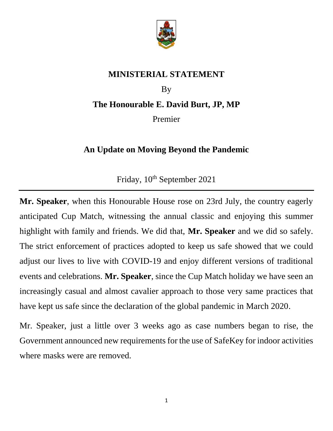

## **MINISTERIAL STATEMENT**

## By **The Honourable E. David Burt, JP, MP**

Premier

## **An Update on Moving Beyond the Pandemic**

Friday,  $10^{th}$  September 2021

**Mr. Speaker**, when this Honourable House rose on 23rd July, the country eagerly anticipated Cup Match, witnessing the annual classic and enjoying this summer highlight with family and friends. We did that, **Mr. Speaker** and we did so safely. The strict enforcement of practices adopted to keep us safe showed that we could adjust our lives to live with COVID-19 and enjoy different versions of traditional events and celebrations. **Mr. Speaker**, since the Cup Match holiday we have seen an increasingly casual and almost cavalier approach to those very same practices that have kept us safe since the declaration of the global pandemic in March 2020.

Mr. Speaker, just a little over 3 weeks ago as case numbers began to rise, the Government announced new requirements for the use of SafeKey for indoor activities where masks were are removed.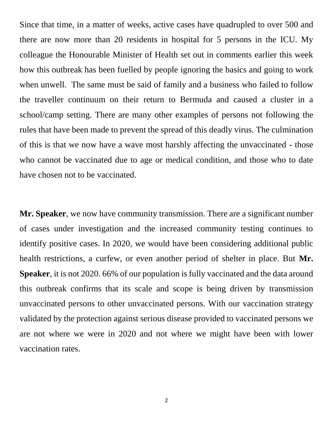Since that time, in a matter of weeks, active cases have quadrupled to over 500 and there are now more than 20 residents in hospital for 5 persons in the ICU. My colleague the Honourable Minister of Health set out in comments earlier this week how this outbreak has been fuelled by people ignoring the basics and going to work when unwell. The same must be said of family and a business who failed to follow the traveller continuum on their return to Bermuda and caused a cluster in a school/camp setting. There are many other examples of persons not following the rules that have been made to prevent the spread of this deadly virus. The culmination of this is that we now have a wave most harshly affecting the unvaccinated - those who cannot be vaccinated due to age or medical condition, and those who to date have chosen not to be vaccinated.

**Mr. Speaker**, we now have community transmission. There are a significant number of cases under investigation and the increased community testing continues to identify positive cases. In 2020, we would have been considering additional public health restrictions, a curfew, or even another period of shelter in place. But **Mr. Speaker**, it is not 2020. 66% of our population is fully vaccinated and the data around this outbreak confirms that its scale and scope is being driven by transmission unvaccinated persons to other unvaccinated persons. With our vaccination strategy validated by the protection against serious disease provided to vaccinated persons we are not where we were in 2020 and not where we might have been with lower vaccination rates.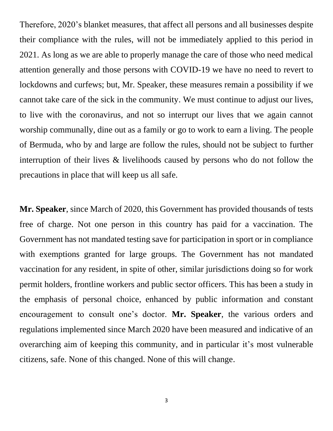Therefore, 2020's blanket measures, that affect all persons and all businesses despite their compliance with the rules, will not be immediately applied to this period in 2021. As long as we are able to properly manage the care of those who need medical attention generally and those persons with COVID-19 we have no need to revert to lockdowns and curfews; but, Mr. Speaker, these measures remain a possibility if we cannot take care of the sick in the community. We must continue to adjust our lives, to live with the coronavirus, and not so interrupt our lives that we again cannot worship communally, dine out as a family or go to work to earn a living. The people of Bermuda, who by and large are follow the rules, should not be subject to further interruption of their lives & livelihoods caused by persons who do not follow the precautions in place that will keep us all safe.

**Mr. Speaker**, since March of 2020, this Government has provided thousands of tests free of charge. Not one person in this country has paid for a vaccination. The Government has not mandated testing save for participation in sport or in compliance with exemptions granted for large groups. The Government has not mandated vaccination for any resident, in spite of other, similar jurisdictions doing so for work permit holders, frontline workers and public sector officers. This has been a study in the emphasis of personal choice, enhanced by public information and constant encouragement to consult one's doctor. **Mr. Speaker**, the various orders and regulations implemented since March 2020 have been measured and indicative of an overarching aim of keeping this community, and in particular it's most vulnerable citizens, safe. None of this changed. None of this will change.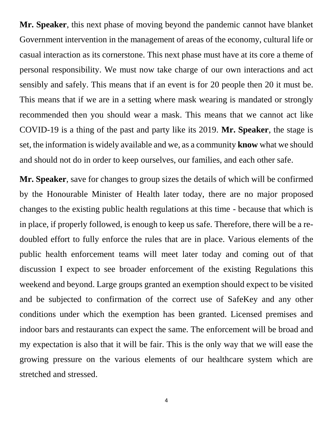**Mr. Speaker**, this next phase of moving beyond the pandemic cannot have blanket Government intervention in the management of areas of the economy, cultural life or casual interaction as its cornerstone. This next phase must have at its core a theme of personal responsibility. We must now take charge of our own interactions and act sensibly and safely. This means that if an event is for 20 people then 20 it must be. This means that if we are in a setting where mask wearing is mandated or strongly recommended then you should wear a mask. This means that we cannot act like COVID-19 is a thing of the past and party like its 2019. **Mr. Speaker**, the stage is set, the information is widely available and we, as a community **know** what we should and should not do in order to keep ourselves, our families, and each other safe.

**Mr. Speaker**, save for changes to group sizes the details of which will be confirmed by the Honourable Minister of Health later today, there are no major proposed changes to the existing public health regulations at this time - because that which is in place, if properly followed, is enough to keep us safe. Therefore, there will be a redoubled effort to fully enforce the rules that are in place. Various elements of the public health enforcement teams will meet later today and coming out of that discussion I expect to see broader enforcement of the existing Regulations this weekend and beyond. Large groups granted an exemption should expect to be visited and be subjected to confirmation of the correct use of SafeKey and any other conditions under which the exemption has been granted. Licensed premises and indoor bars and restaurants can expect the same. The enforcement will be broad and my expectation is also that it will be fair. This is the only way that we will ease the growing pressure on the various elements of our healthcare system which are stretched and stressed.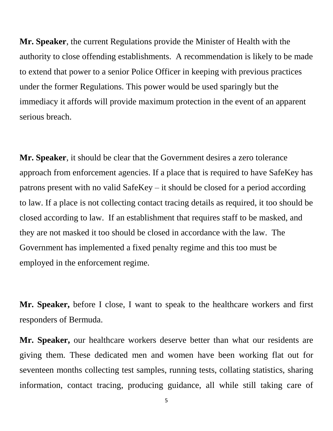**Mr. Speaker**, the current Regulations provide the Minister of Health with the authority to close offending establishments. A recommendation is likely to be made to extend that power to a senior Police Officer in keeping with previous practices under the former Regulations. This power would be used sparingly but the immediacy it affords will provide maximum protection in the event of an apparent serious breach.

**Mr. Speaker**, it should be clear that the Government desires a zero tolerance approach from enforcement agencies. If a place that is required to have SafeKey has patrons present with no valid SafeKey – it should be closed for a period according to law. If a place is not collecting contact tracing details as required, it too should be closed according to law. If an establishment that requires staff to be masked, and they are not masked it too should be closed in accordance with the law. The Government has implemented a fixed penalty regime and this too must be employed in the enforcement regime.

**Mr. Speaker,** before I close, I want to speak to the healthcare workers and first responders of Bermuda.

**Mr. Speaker,** our healthcare workers deserve better than what our residents are giving them. These dedicated men and women have been working flat out for seventeen months collecting test samples, running tests, collating statistics, sharing information, contact tracing, producing guidance, all while still taking care of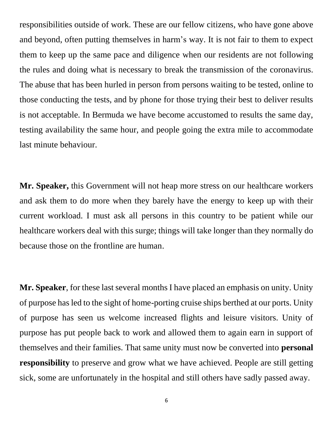responsibilities outside of work. These are our fellow citizens, who have gone above and beyond, often putting themselves in harm's way. It is not fair to them to expect them to keep up the same pace and diligence when our residents are not following the rules and doing what is necessary to break the transmission of the coronavirus. The abuse that has been hurled in person from persons waiting to be tested, online to those conducting the tests, and by phone for those trying their best to deliver results is not acceptable. In Bermuda we have become accustomed to results the same day, testing availability the same hour, and people going the extra mile to accommodate last minute behaviour.

**Mr. Speaker,** this Government will not heap more stress on our healthcare workers and ask them to do more when they barely have the energy to keep up with their current workload. I must ask all persons in this country to be patient while our healthcare workers deal with this surge; things will take longer than they normally do because those on the frontline are human.

**Mr. Speaker**, for these last several months I have placed an emphasis on unity. Unity of purpose has led to the sight of home-porting cruise ships berthed at our ports. Unity of purpose has seen us welcome increased flights and leisure visitors. Unity of purpose has put people back to work and allowed them to again earn in support of themselves and their families. That same unity must now be converted into **personal responsibility** to preserve and grow what we have achieved. People are still getting sick, some are unfortunately in the hospital and still others have sadly passed away.